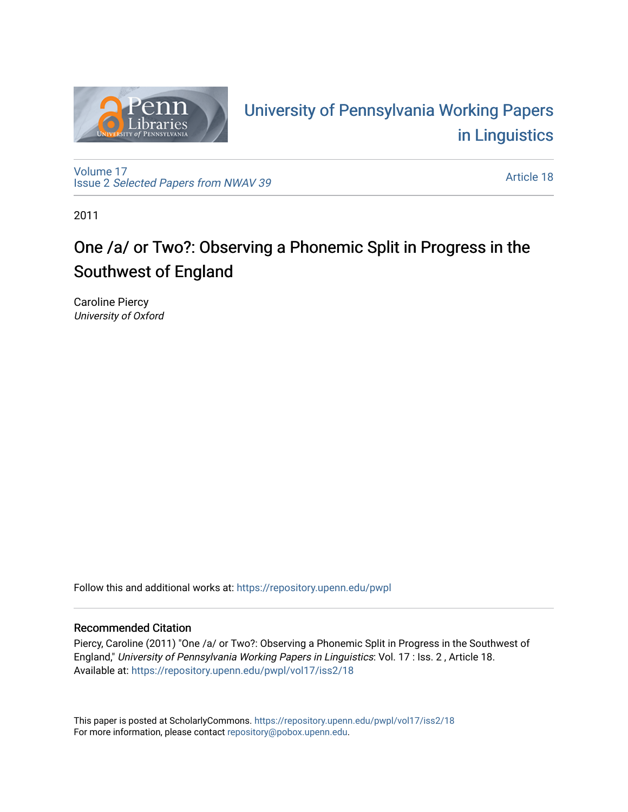

# University of P[ennsylvania Working P](https://repository.upenn.edu/pwpl)apers [in Linguistics](https://repository.upenn.edu/pwpl)

[Volume 17](https://repository.upenn.edu/pwpl/vol17) Issue 2 [Selected Papers from NWAV 39](https://repository.upenn.edu/pwpl/vol17/iss2) 

[Article 18](https://repository.upenn.edu/pwpl/vol17/iss2/18) 

2011

# One /a/ or Two?: Observing a Phonemic Split in Progress in the Southwest of England

Caroline Piercy University of Oxford

Follow this and additional works at: [https://repository.upenn.edu/pwpl](https://repository.upenn.edu/pwpl?utm_source=repository.upenn.edu%2Fpwpl%2Fvol17%2Fiss2%2F18&utm_medium=PDF&utm_campaign=PDFCoverPages) 

# Recommended Citation

Piercy, Caroline (2011) "One /a/ or Two?: Observing a Phonemic Split in Progress in the Southwest of England," University of Pennsylvania Working Papers in Linguistics: Vol. 17 : Iss. 2 , Article 18. Available at: [https://repository.upenn.edu/pwpl/vol17/iss2/18](https://repository.upenn.edu/pwpl/vol17/iss2/18?utm_source=repository.upenn.edu%2Fpwpl%2Fvol17%2Fiss2%2F18&utm_medium=PDF&utm_campaign=PDFCoverPages)

This paper is posted at ScholarlyCommons.<https://repository.upenn.edu/pwpl/vol17/iss2/18> For more information, please contact [repository@pobox.upenn.edu.](mailto:repository@pobox.upenn.edu)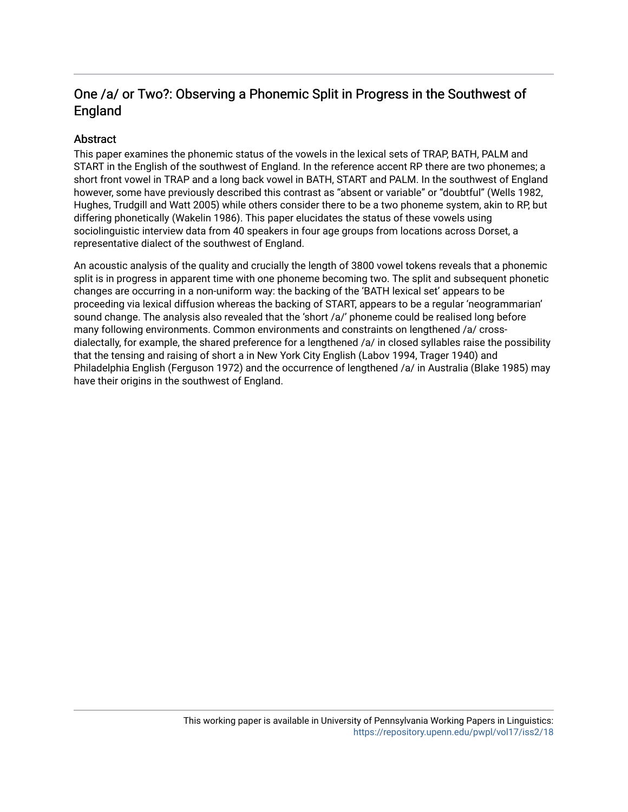# One /a/ or Two?: Observing a Phonemic Split in Progress in the Southwest of England

# **Abstract**

This paper examines the phonemic status of the vowels in the lexical sets of TRAP, BATH, PALM and START in the English of the southwest of England. In the reference accent RP there are two phonemes; a short front vowel in TRAP and a long back vowel in BATH, START and PALM. In the southwest of England however, some have previously described this contrast as "absent or variable" or "doubtful" (Wells 1982, Hughes, Trudgill and Watt 2005) while others consider there to be a two phoneme system, akin to RP, but differing phonetically (Wakelin 1986). This paper elucidates the status of these vowels using sociolinguistic interview data from 40 speakers in four age groups from locations across Dorset, a representative dialect of the southwest of England.

An acoustic analysis of the quality and crucially the length of 3800 vowel tokens reveals that a phonemic split is in progress in apparent time with one phoneme becoming two. The split and subsequent phonetic changes are occurring in a non-uniform way: the backing of the 'BATH lexical set' appears to be proceeding via lexical diffusion whereas the backing of START, appears to be a regular 'neogrammarian' sound change. The analysis also revealed that the 'short /a/' phoneme could be realised long before many following environments. Common environments and constraints on lengthened /a/ crossdialectally, for example, the shared preference for a lengthened /a/ in closed syllables raise the possibility that the tensing and raising of short a in New York City English (Labov 1994, Trager 1940) and Philadelphia English (Ferguson 1972) and the occurrence of lengthened /a/ in Australia (Blake 1985) may have their origins in the southwest of England.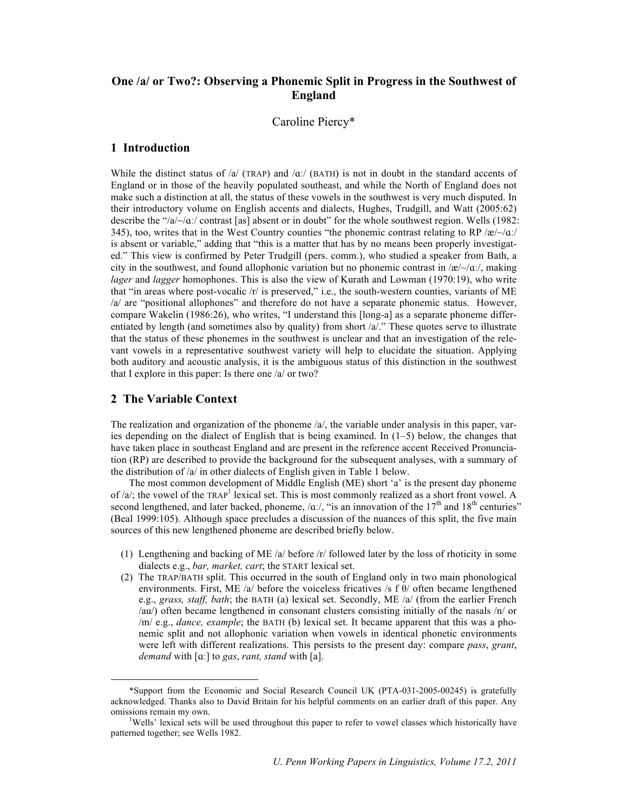# **One /a/ or Two?: Observing a Phonemic Split in Progress in the Southwest of England**

Caroline Piercy\*

#### **1 Introduction**

While the distinct status of  $/a$  (TRAP) and  $/a$ . (BATH) is not in doubt in the standard accents of England or in those of the heavily populated southeast, and while the North of England does not make such a distinction at all, the status of these vowels in the southwest is very much disputed. In their introductory volume on English accents and dialects, Hughes, Trudgill, and Watt (2005:62) describe the " $/a$   $\sim/a$  contrast [as] absent or in doubt" for the whole southwest region. Wells (1982: 345), too, writes that in the West Country counties "the phonemic contrast relating to RP /æ/ $\sim$ /ɑː/ is absent or variable," adding that "this is a matter that has by no means been properly investigated." This view is confirmed by Peter Trudgill (pers. comm.), who studied a speaker from Bath, a city in the southwest, and found allophonic variation but no phonemic contrast in /æ/ $\sim$ / $\alpha$ ./, making *lager* and *lagger* homophones. This is also the view of Kurath and Lowman (1970:19), who write that "in areas where post-vocalic /r/ is preserved," i.e., the south-western counties, variants of ME /a/ are "positional allophones" and therefore do not have a separate phonemic status. However, compare Wakelin (1986:26), who writes, "I understand this [long-a] as a separate phoneme differentiated by length (and sometimes also by quality) from short  $/a$ ." These quotes serve to illustrate that the status of these phonemes in the southwest is unclear and that an investigation of the relevant vowels in a representative southwest variety will help to elucidate the situation. Applying both auditory and acoustic analysis, it is the ambiguous status of this distinction in the southwest that I explore in this paper: Is there one /a/ or two?

#### **2 The Variable Context**

The realization and organization of the phoneme  $\alpha$ , the variable under analysis in this paper, varies depending on the dialect of English that is being examined. In (1–5) below, the changes that have taken place in southeast England and are present in the reference accent Received Pronunciation (RP) are described to provide the background for the subsequent analyses, with a summary of the distribution of /a/ in other dialects of English given in Table 1 below.

The most common development of Middle English (ME) short 'a' is the present day phoneme of  $a/x$ ; the vowel of the TRAP<sup>1</sup> lexical set. This is most commonly realized as a short front vowel. A second lengthened, and later backed, phoneme,  $/\alpha$ . "is an innovation of the 17<sup>th</sup> and 18<sup>th</sup> centuries" (Beal 1999:105). Although space precludes a discussion of the nuances of this split, the five main sources of this new lengthened phoneme are described briefly below.

- (1) Lengthening and backing of ME /a/ before /r/ followed later by the loss of rhoticity in some dialects e.g., *bar, market, cart*; the START lexical set.
- (2) The TRAP/BATH split. This occurred in the south of England only in two main phonological environments. First, ME /a/ before the voiceless fricatives /s f  $\theta$ / often became lengthened e.g., *grass, staff, bath*; the BATH (a) lexical set. Secondly, ME /a/ (from the earlier French /au/) often became lengthened in consonant clusters consisting initially of the nasals /n/ or /m/ e.g., *dance, example*; the BATH (b) lexical set. It became apparent that this was a phonemic split and not allophonic variation when vowels in identical phonetic environments were left with different realizations. This persists to the present day: compare *pass*, *grant*, *demand* with [ɑː] to *gas*, *rant, stand* with [a].

 <sup>\*</sup>Support from the Economic and Social Research Council UK (PTA-031-2005-00245) is gratefully acknowledged. Thanks also to David Britain for his helpful comments on an earlier draft of this paper. Any omissions remain my own. <sup>1</sup>

<sup>&</sup>lt;sup>1</sup>Wells' lexical sets will be used throughout this paper to refer to vowel classes which historically have patterned together; see Wells 1982.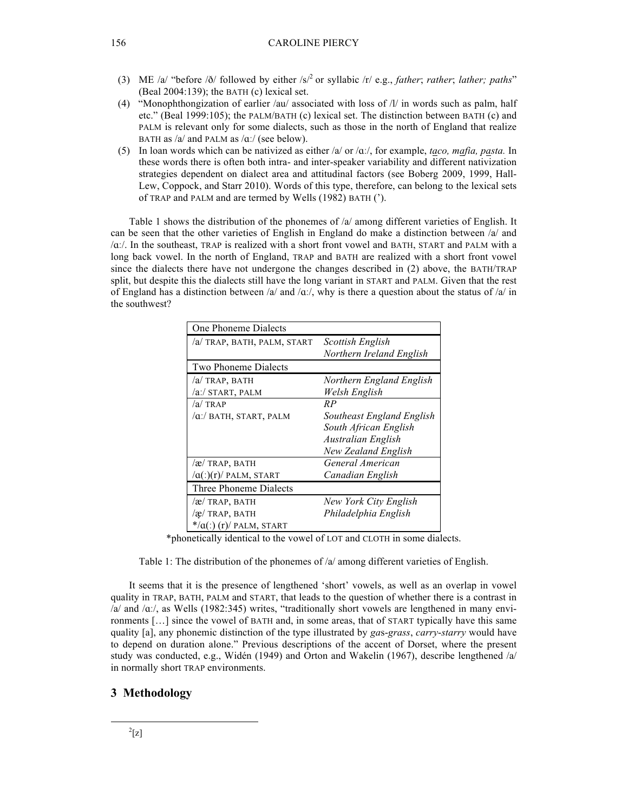- (3) ME /a/ "before /ð/ followed by either /s/<sup>2</sup> or syllabic /r/ e.g., *father*; *rather*; *lather; paths*" (Beal 2004:139); the BATH (c) lexical set.
- (4) "Monophthongization of earlier /au/ associated with loss of  $/V$  in words such as palm, half etc." (Beal 1999:105); the PALM/BATH (c) lexical set. The distinction between BATH (c) and PALM is relevant only for some dialects, such as those in the north of England that realize BATH as  $/a$  and PALM as  $\alpha$ . (see below).
- (5) In loan words which can be nativized as either /a/ or /ɑː/, for example, *taco, mafia, pasta.* In these words there is often both intra- and inter-speaker variability and different nativization strategies dependent on dialect area and attitudinal factors (see Boberg 2009, 1999, Hall-Lew, Coppock, and Starr 2010). Words of this type, therefore, can belong to the lexical sets of TRAP and PALM and are termed by Wells (1982) BATH (').

Table 1 shows the distribution of the phonemes of /a/ among different varieties of English. It can be seen that the other varieties of English in England do make a distinction between  $\alpha$  and /ɑː/. In the southeast, TRAP is realized with a short front vowel and BATH, START and PALM with a long back vowel. In the north of England, TRAP and BATH are realized with a short front vowel since the dialects there have not undergone the changes described in (2) above, the BATH/TRAP split, but despite this the dialects still have the long variant in START and PALM. Given that the rest of England has a distinction between /a/ and /ɑː/, why is there a question about the status of /a/ in the southwest?

| One Phoneme Dialects                |                            |  |  |  |  |  |  |  |  |
|-------------------------------------|----------------------------|--|--|--|--|--|--|--|--|
| /a/ TRAP, BATH, PALM, START         | Scottish English           |  |  |  |  |  |  |  |  |
|                                     | Northern Ireland English   |  |  |  |  |  |  |  |  |
| <b>Two Phoneme Dialects</b>         |                            |  |  |  |  |  |  |  |  |
| /a/ TRAP, BATH                      | Northern England English   |  |  |  |  |  |  |  |  |
| /a:/ START, PALM                    | Welsh English              |  |  |  |  |  |  |  |  |
| $\alpha$ TRAP                       | RP                         |  |  |  |  |  |  |  |  |
| /a:/ BATH, START, PALM              | Southeast England English  |  |  |  |  |  |  |  |  |
|                                     | South African English      |  |  |  |  |  |  |  |  |
|                                     | <b>Australian English</b>  |  |  |  |  |  |  |  |  |
|                                     | <b>New Zealand English</b> |  |  |  |  |  |  |  |  |
| /æ/ TRAP, BATH                      | General American           |  |  |  |  |  |  |  |  |
| $\alpha$ (:)(r)/ PALM, START        | Canadian English           |  |  |  |  |  |  |  |  |
| Three Phoneme Dialects              |                            |  |  |  |  |  |  |  |  |
| /æ/ TRAP, BATH                      | New York City English      |  |  |  |  |  |  |  |  |
| /æ/ TRAP, BATH                      | Philadelphia English       |  |  |  |  |  |  |  |  |
| $*$ / $\alpha$ (:) (r)/ PALM, START |                            |  |  |  |  |  |  |  |  |

\*phonetically identical to the vowel of LOT and CLOTH in some dialects.

Table 1: The distribution of the phonemes of /a/ among different varieties of English.

It seems that it is the presence of lengthened 'short' vowels, as well as an overlap in vowel quality in TRAP, BATH, PALM and START, that leads to the question of whether there is a contrast in  $/a$  and  $/a$ :/, as Wells (1982:345) writes, "traditionally short vowels are lengthened in many environments […] since the vowel of BATH and, in some areas, that of START typically have this same quality [a], any phonemic distinction of the type illustrated by *ga*s-*grass*, *carry*-*starry* would have to depend on duration alone." Previous descriptions of the accent of Dorset, where the present study was conducted, e.g., Widén (1949) and Orton and Wakelin (1967), describe lengthened /a/ in normally short TRAP environments.

# **3 Methodology**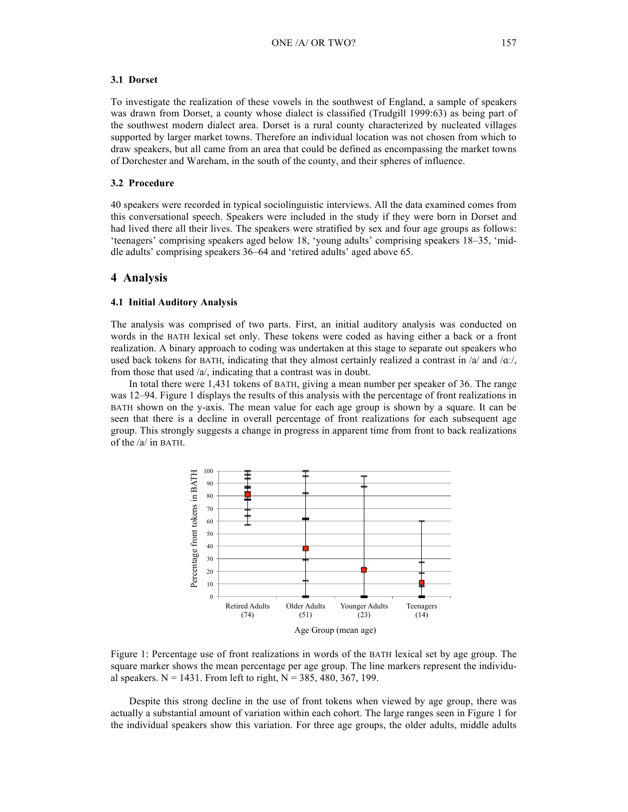#### **3.1 Dorset**

To investigate the realization of these vowels in the southwest of England, a sample of speakers was drawn from Dorset, a county whose dialect is classified (Trudgill 1999:63) as being part of the southwest modern dialect area. Dorset is a rural county characterized by nucleated villages supported by larger market towns. Therefore an individual location was not chosen from which to draw speakers, but all came from an area that could be defined as encompassing the market towns of Dorchester and Wareham, in the south of the county, and their spheres of influence.

#### **3.2 Procedure**

40 speakers were recorded in typical sociolinguistic interviews. All the data examined comes from this conversational speech. Speakers were included in the study if they were born in Dorset and had lived there all their lives. The speakers were stratified by sex and four age groups as follows: 'teenagers' comprising speakers aged below 18, 'young adults' comprising speakers 18–35, 'middle adults' comprising speakers 36–64 and 'retired adults' aged above 65.

#### **4 Analysis**

#### **4.1 Initial Auditory Analysis**

The analysis was comprised of two parts. First, an initial auditory analysis was conducted on words in the BATH lexical set only. These tokens were coded as having either a back or a front realization. A binary approach to coding was undertaken at this stage to separate out speakers who used back tokens for BATH, indicating that they almost certainly realized a contrast in  $\alpha$  and  $\alpha$ . from those that used /a/, indicating that a contrast was in doubt.

In total there were 1,431 tokens of BATH, giving a mean number per speaker of 36. The range was 12–94. Figure 1 displays the results of this analysis with the percentage of front realizations in BATH shown on the y-axis. The mean value for each age group is shown by a square. It can be seen that there is a decline in overall percentage of front realizations for each subsequent age group. This strongly suggests a change in progress in apparent time from front to back realizations of the /a/ in BATH.



Figure 1: Percentage use of front realizations in words of the BATH lexical set by age group. The square marker shows the mean percentage per age group. The line markers represent the individual speakers.  $N = 1431$ . From left to right,  $N = 385, 480, 367, 199$ .

Despite this strong decline in the use of front tokens when viewed by age group, there was actually a substantial amount of variation within each cohort. The large ranges seen in Figure 1 for the individual speakers show this variation. For three age groups, the older adults, middle adults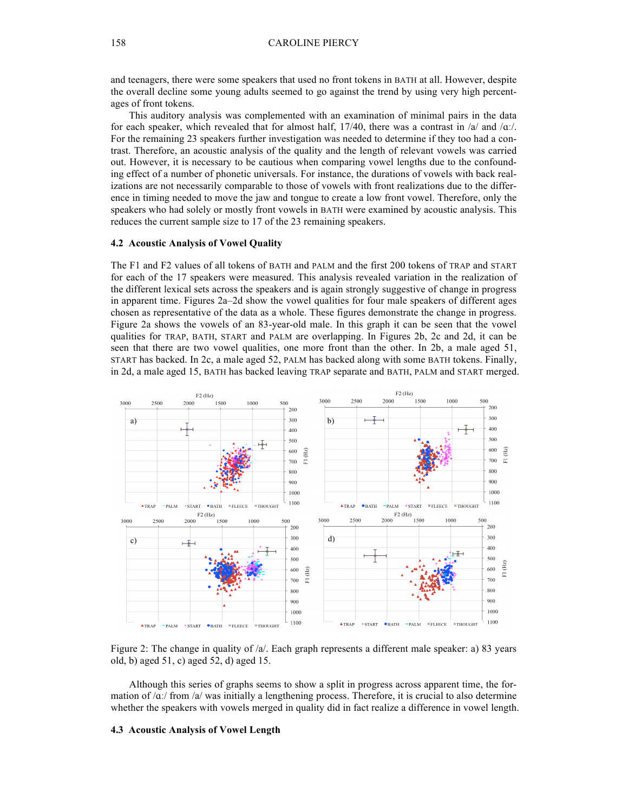#### 158 CAROLINE PIERCY

and teenagers, there were some speakers that used no front tokens in BATH at all. However, despite the overall decline some young adults seemed to go against the trend by using very high percentages of front tokens.

This auditory analysis was complemented with an examination of minimal pairs in the data for each speaker, which revealed that for almost half,  $17/40$ , there was a contrast in  $\alpha$  and  $\alpha$ . For the remaining 23 speakers further investigation was needed to determine if they too had a contrast. Therefore, an acoustic analysis of the quality and the length of relevant vowels was carried out. However, it is necessary to be cautious when comparing vowel lengths due to the confounding effect of a number of phonetic universals. For instance, the durations of vowels with back realizations are not necessarily comparable to those of vowels with front realizations due to the difference in timing needed to move the jaw and tongue to create a low front vowel. Therefore, only the speakers who had solely or mostly front vowels in BATH were examined by acoustic analysis. This reduces the current sample size to 17 of the 23 remaining speakers.

#### **4.2 Acoustic Analysis of Vowel Quality**

The F1 and F2 values of all tokens of BATH and PALM and the first 200 tokens of TRAP and START for each of the 17 speakers were measured. This analysis revealed variation in the realization of the different lexical sets across the speakers and is again strongly suggestive of change in progress in apparent time. Figures 2a–2d show the vowel qualities for four male speakers of different ages chosen as representative of the data as a whole. These figures demonstrate the change in progress. Figure 2a shows the vowels of an 83-year-old male. In this graph it can be seen that the vowel qualities for TRAP, BATH, START and PALM are overlapping. In Figures 2b, 2c and 2d, it can be seen that there are two vowel qualities, one more front than the other. In 2b, a male aged 51, START has backed. In 2c, a male aged 52, PALM has backed along with some BATH tokens. Finally, in 2d, a male aged 15, BATH has backed leaving TRAP separate and BATH, PALM and START merged.



Figure 2: The change in quality of /a/. Each graph represents a different male speaker: a) 83 years old, b) aged 51, c) aged 52, d) aged 15.

Although this series of graphs seems to show a split in progress across apparent time, the formation of  $\alpha$ :/ from  $\alpha$ / was initially a lengthening process. Therefore, it is crucial to also determine whether the speakers with vowels merged in quality did in fact realize a difference in vowel length.

#### **4.3 Acoustic Analysis of Vowel Length**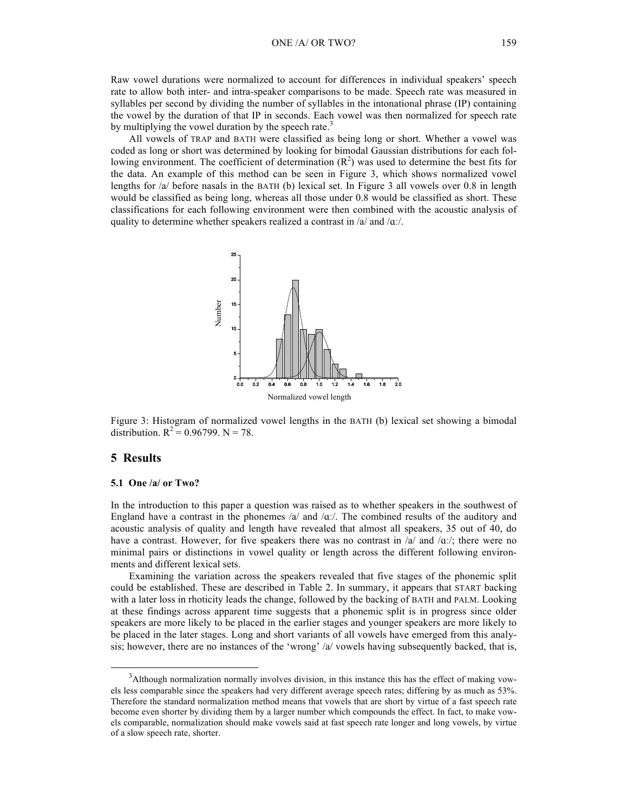Raw vowel durations were normalized to account for differences in individual speakers' speech rate to allow both inter- and intra-speaker comparisons to be made. Speech rate was measured in syllables per second by dividing the number of syllables in the intonational phrase (IP) containing the vowel by the duration of that IP in seconds. Each vowel was then normalized for speech rate by multiplying the vowel duration by the speech rate.<sup>3</sup>

All vowels of TRAP and BATH were classified as being long or short. Whether a vowel was coded as long or short was determined by looking for bimodal Gaussian distributions for each following environment. The coefficient of determination  $(R^2)$  was used to determine the best fits for the data. An example of this method can be seen in Figure 3, which shows normalized vowel lengths for /a/ before nasals in the BATH (b) lexical set. In Figure 3 all vowels over 0.8 in length would be classified as being long, whereas all those under 0.8 would be classified as short. These classifications for each following environment were then combined with the acoustic analysis of quality to determine whether speakers realized a contrast in  $/a$  and  $/\alpha$ .



Figure 3: Histogram of normalized vowel lengths in the BATH (b) lexical set showing a bimodal distribution.  $R^2 = 0.96799$ . N = 78.

### **5 Results**

#### **5.1 One /a/ or Two?**

In the introduction to this paper a question was raised as to whether speakers in the southwest of England have a contrast in the phonemes /a/ and / $\alpha$ . The combined results of the auditory and acoustic analysis of quality and length have revealed that almost all speakers, 35 out of 40, do have a contrast. However, for five speakers there was no contrast in  $\alpha$  and  $\alpha$ ./; there were no minimal pairs or distinctions in vowel quality or length across the different following environments and different lexical sets.

Examining the variation across the speakers revealed that five stages of the phonemic split could be established. These are described in Table 2. In summary, it appears that START backing with a later loss in rhoticity leads the change, followed by the backing of BATH and PALM. Looking at these findings across apparent time suggests that a phonemic split is in progress since older speakers are more likely to be placed in the earlier stages and younger speakers are more likely to be placed in the later stages. Long and short variants of all vowels have emerged from this analysis; however, there are no instances of the 'wrong' /a/ vowels having subsequently backed, that is,

 $\frac{1}{3}$ Although normalization normally involves division, in this instance this has the effect of making vowels less comparable since the speakers had very different average speech rates; differing by as much as 53%. Therefore the standard normalization method means that vowels that are short by virtue of a fast speech rate become even shorter by dividing them by a larger number which compounds the effect. In fact, to make vowels comparable, normalization should make vowels said at fast speech rate longer and long vowels, by virtue of a slow speech rate, shorter.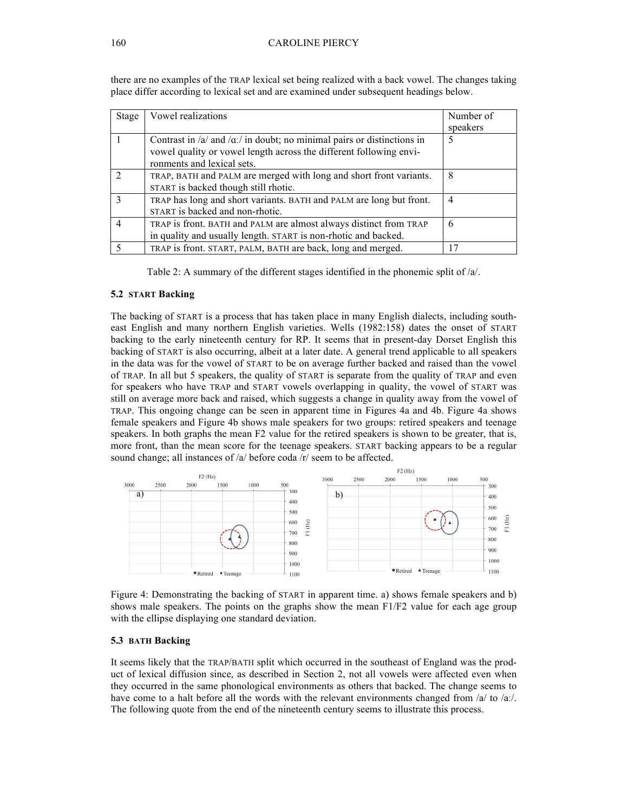| Stage          | Vowel realizations                                                          | Number of      |
|----------------|-----------------------------------------------------------------------------|----------------|
|                |                                                                             | speakers       |
|                | Contrast in $/a$ and $\alpha$ in doubt; no minimal pairs or distinctions in | 5              |
|                | vowel quality or vowel length across the different following envi-          |                |
|                | ronments and lexical sets.                                                  |                |
|                | TRAP, BATH and PALM are merged with long and short front variants.          | 8              |
|                | START is backed though still rhotic.                                        |                |
| $\mathcal{R}$  | TRAP has long and short variants. BATH and PALM are long but front.         | $\overline{4}$ |
|                | START is backed and non-rhotic.                                             |                |
| $\overline{4}$ | TRAP is front. BATH and PALM are almost always distinct from TRAP           | 6              |
|                | in quality and usually length. START is non-rhotic and backed.              |                |
|                | TRAP is front. START, PALM, BATH are back, long and merged.                 |                |

there are no examples of the TRAP lexical set being realized with a back vowel. The changes taking place differ according to lexical set and are examined under subsequent headings below.

Table 2: A summary of the different stages identified in the phonemic split of /a/.

#### **5.2 START Backing**

The backing of START is a process that has taken place in many English dialects, including southeast English and many northern English varieties. Wells (1982:158) dates the onset of START backing to the early nineteenth century for RP. It seems that in present-day Dorset English this backing of START is also occurring, albeit at a later date. A general trend applicable to all speakers in the data was for the vowel of START to be on average further backed and raised than the vowel of TRAP. In all but 5 speakers, the quality of START is separate from the quality of TRAP and even for speakers who have TRAP and START vowels overlapping in quality, the vowel of START was still on average more back and raised, which suggests a change in quality away from the vowel of TRAP. This ongoing change can be seen in apparent time in Figures 4a and 4b. Figure 4a shows female speakers and Figure 4b shows male speakers for two groups: retired speakers and teenage speakers. In both graphs the mean F2 value for the retired speakers is shown to be greater, that is, more front, than the mean score for the teenage speakers. START backing appears to be a regular sound change; all instances of /a/ before coda /r/ seem to be affected.



Figure 4: Demonstrating the backing of START in apparent time. a) shows female speakers and b) shows male speakers. The points on the graphs show the mean  $F1/F2$  value for each age group with the ellipse displaying one standard deviation.

### **5.3 BATH Backing**

It seems likely that the TRAP/BATH split which occurred in the southeast of England was the product of lexical diffusion since, as described in Section 2, not all vowels were affected even when they occurred in the same phonological environments as others that backed. The change seems to have come to a halt before all the words with the relevant environments changed from  $\alpha$  to  $\alpha$ . The following quote from the end of the nineteenth century seems to illustrate this process.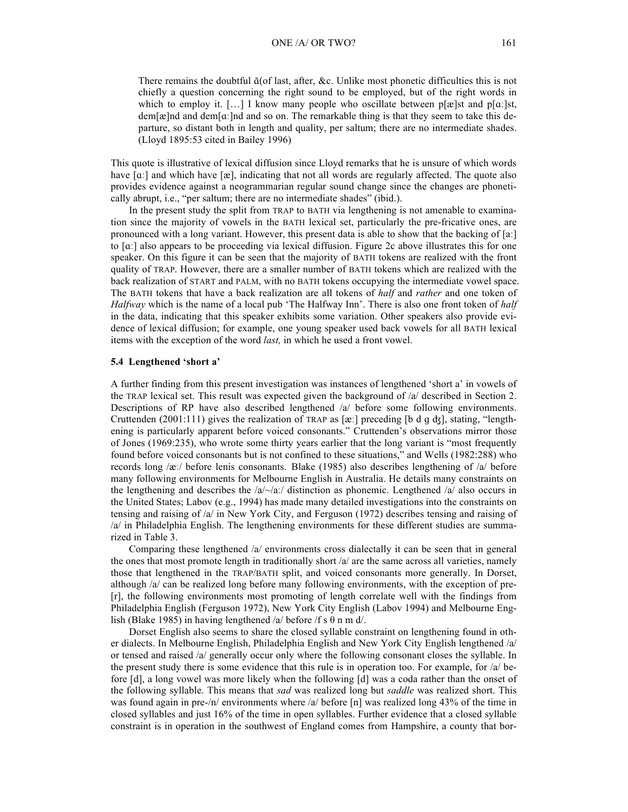There remains the doubtful ɑ̆(of last, after, &c. Unlike most phonetic difficulties this is not chiefly a question concerning the right sound to be employed, but of the right words in which to employ it. [...] I know many people who oscillate between  $p[\mathbf{x}]$ st and  $p[\mathbf{a}]$ st,  $dem[\mathbf{\alpha}]$ nd and dem $[\mathbf{\alpha}]$ nd and so on. The remarkable thing is that they seem to take this departure, so distant both in length and quality, per saltum; there are no intermediate shades. (Lloyd 1895:53 cited in Bailey 1996)

This quote is illustrative of lexical diffusion since Lloyd remarks that he is unsure of which words have [a:] and which have [æ], indicating that not all words are regularly affected. The quote also provides evidence against a neogrammarian regular sound change since the changes are phonetically abrupt, i.e., "per saltum; there are no intermediate shades" (ibid.).

In the present study the split from TRAP to BATH via lengthening is not amenable to examination since the majority of vowels in the BATH lexical set, particularly the pre-fricative ones, are pronounced with a long variant. However, this present data is able to show that the backing of [aː] to [ɑː] also appears to be proceeding via lexical diffusion. Figure 2c above illustrates this for one speaker. On this figure it can be seen that the majority of BATH tokens are realized with the front quality of TRAP. However, there are a smaller number of BATH tokens which are realized with the back realization of START and PALM, with no BATH tokens occupying the intermediate vowel space. The BATH tokens that have a back realization are all tokens of *half* and *rather* and one token of *Halfway* which is the name of a local pub 'The Halfway Inn'. There is also one front token of *half* in the data, indicating that this speaker exhibits some variation. Other speakers also provide evidence of lexical diffusion; for example, one young speaker used back vowels for all BATH lexical items with the exception of the word *last,* in which he used a front vowel.

#### **5.4 Lengthened 'short a'**

A further finding from this present investigation was instances of lengthened 'short a' in vowels of the TRAP lexical set. This result was expected given the background of /a/ described in Section 2. Descriptions of RP have also described lengthened /a/ before some following environments. Cruttenden (2001:111) gives the realization of TRAP as [ $\alpha$ :] preceding [b d q  $d\zeta$ ], stating, "lengthening is particularly apparent before voiced consonants." Cruttenden's observations mirror those of Jones (1969:235), who wrote some thirty years earlier that the long variant is "most frequently found before voiced consonants but is not confined to these situations," and Wells (1982:288) who records long /æː/ before lenis consonants. Blake (1985) also describes lengthening of /a/ before many following environments for Melbourne English in Australia. He details many constraints on the lengthening and describes the  $/a$ / $-a$ <sup>'</sup> distinction as phonemic. Lengthened  $/a$ <sup>'</sup> also occurs in the United States; Labov (e.g., 1994) has made many detailed investigations into the constraints on tensing and raising of /a/ in New York City, and Ferguson (1972) describes tensing and raising of /a/ in Philadelphia English. The lengthening environments for these different studies are summarized in Table 3.

Comparing these lengthened /a/ environments cross dialectally it can be seen that in general the ones that most promote length in traditionally short /a/ are the same across all varieties, namely those that lengthened in the TRAP/BATH split, and voiced consonants more generally. In Dorset, although /a/ can be realized long before many following environments, with the exception of pre- [r], the following environments most promoting of length correlate well with the findings from Philadelphia English (Ferguson 1972), New York City English (Labov 1994) and Melbourne English (Blake 1985) in having lengthened /a/ before /f s  $\theta$  n m d/.

Dorset English also seems to share the closed syllable constraint on lengthening found in other dialects. In Melbourne English, Philadelphia English and New York City English lengthened /a/ or tensed and raised /a/ generally occur only where the following consonant closes the syllable. In the present study there is some evidence that this rule is in operation too. For example, for /a/ before [d], a long vowel was more likely when the following [d] was a coda rather than the onset of the following syllable. This means that *sad* was realized long but *saddle* was realized short. This was found again in pre-/n/ environments where /a/ before [n] was realized long 43% of the time in closed syllables and just 16% of the time in open syllables. Further evidence that a closed syllable constraint is in operation in the southwest of England comes from Hampshire, a county that bor-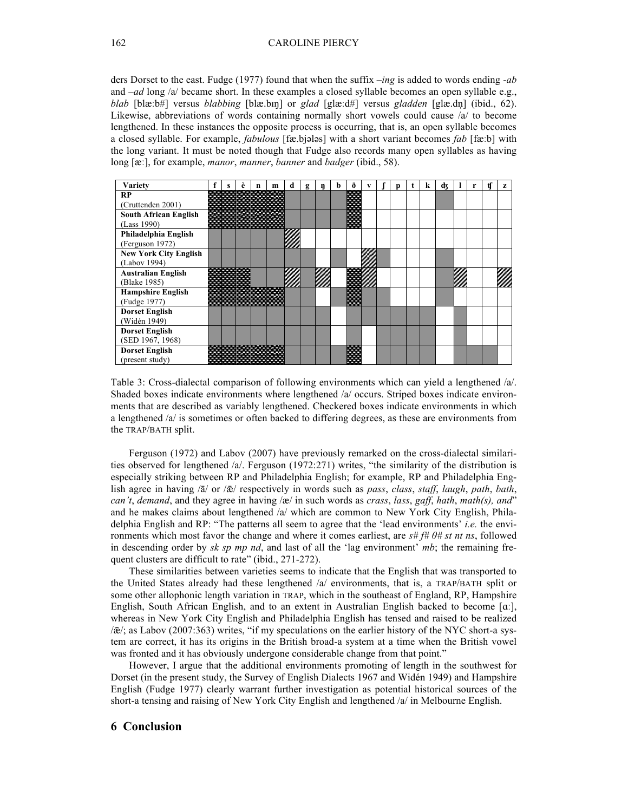ders Dorset to the east. Fudge (1977) found that when the suffix *–ing* is added to words ending *-ab* and –*ad* long /a/ became short. In these examples a closed syllable becomes an open syllable e.g., *blab* [blæːb#] versus *blabbing* [blæ.bɪŋ] or *glad* [glæːd#] versus *gladden* [glæ.dn̩ ] (ibid., 62). Likewise, abbreviations of words containing normally short vowels could cause /a/ to become lengthened. In these instances the opposite process is occurring, that is, an open syllable becomes a closed syllable. For example, *fabulous* [fæ.bjәlәs] with a short variant becomes *fab* [fæːb] with the long variant. It must be noted though that Fudge also records many open syllables as having long [æː], for example, *manor*, *manner*, *banner* and *badger* (ibid., 58).

| Variety                      |  | A | m     | d | g | ŋ | <b>n</b> | A                 | v |  | k | dz |  | tl | z |
|------------------------------|--|---|-------|---|---|---|----------|-------------------|---|--|---|----|--|----|---|
| RP                           |  |   |       |   |   |   |          |                   |   |  |   |    |  |    |   |
| (Cruttenden 2001)            |  |   |       |   |   |   |          |                   |   |  |   |    |  |    |   |
| <b>South African English</b> |  |   |       |   |   |   |          |                   |   |  |   |    |  |    |   |
| (Lass 1990)                  |  | . |       |   |   |   |          | .                 |   |  |   |    |  |    |   |
| Philadelphia English         |  |   |       |   |   |   |          |                   |   |  |   |    |  |    |   |
| (Ferguson 1972)              |  |   |       |   |   |   |          |                   |   |  |   |    |  |    |   |
| <b>New York City English</b> |  |   |       |   |   |   |          |                   |   |  |   |    |  |    |   |
| (Labov 1994)                 |  |   |       |   |   |   |          |                   |   |  |   |    |  |    |   |
| <b>Australian English</b>    |  |   |       |   |   |   |          |                   |   |  |   |    |  |    |   |
| (Blake 1985)                 |  |   |       |   |   |   |          |                   |   |  |   |    |  |    |   |
| <b>Hampshire English</b>     |  |   | جهوده |   |   |   |          |                   |   |  |   |    |  |    |   |
| (Fudge 1977)                 |  |   |       |   |   |   |          | <b>CONTRACTOR</b> |   |  |   |    |  |    |   |
| <b>Dorset English</b>        |  |   |       |   |   |   |          |                   |   |  |   |    |  |    |   |
| (Widén 1949)                 |  |   |       |   |   |   |          |                   |   |  |   |    |  |    |   |
| <b>Dorset English</b>        |  |   |       |   |   |   |          |                   |   |  |   |    |  |    |   |
| (SED 1967, 1968)             |  |   |       |   |   |   |          |                   |   |  |   |    |  |    |   |
| <b>Dorset English</b>        |  |   |       |   |   |   |          |                   |   |  |   |    |  |    |   |
| (present study)              |  |   |       |   |   |   |          |                   |   |  |   |    |  |    |   |

Table 3: Cross-dialectal comparison of following environments which can yield a lengthened /a/. Shaded boxes indicate environments where lengthened /a/ occurs. Striped boxes indicate environments that are described as variably lengthened. Checkered boxes indicate environments in which a lengthened /a/ is sometimes or often backed to differing degrees, as these are environments from the TRAP/BATH split.

Ferguson (1972) and Labov (2007) have previously remarked on the cross-dialectal similarities observed for lengthened /a/. Ferguson (1972:271) writes, "the similarity of the distribution is especially striking between RP and Philadelphia English; for example, RP and Philadelphia English agree in having /ā/ or /ǣ/ respectively in words such as *pass*, *class*, *staff*, *laugh*, *path*, *bath*, *can't*, *demand*, and they agree in having /æ/ in such words as *crass*, *lass*, *gaff*, *hath*, *math(s), and*" and he makes claims about lengthened /a/ which are common to New York City English, Philadelphia English and RP: "The patterns all seem to agree that the 'lead environments' *i.e.* the environments which most favor the change and where it comes earliest, are *s# f# θ# st nt ns*, followed in descending order by *sk sp mp nd*, and last of all the 'lag environment' *mb*; the remaining frequent clusters are difficult to rate" (ibid., 271-272).

These similarities between varieties seems to indicate that the English that was transported to the United States already had these lengthened /a/ environments, that is, a TRAP/BATH split or some other allophonic length variation in TRAP, which in the southeast of England, RP, Hampshire English, South African English, and to an extent in Australian English backed to become [ɑː], whereas in New York City English and Philadelphia English has tensed and raised to be realized /ǣ/; as Labov (2007:363) writes, "if my speculations on the earlier history of the NYC short-a system are correct, it has its origins in the British broad-a system at a time when the British vowel was fronted and it has obviously undergone considerable change from that point."

However, I argue that the additional environments promoting of length in the southwest for Dorset (in the present study, the Survey of English Dialects 1967 and Widén 1949) and Hampshire English (Fudge 1977) clearly warrant further investigation as potential historical sources of the short-a tensing and raising of New York City English and lengthened /a/ in Melbourne English.

# **6 Conclusion**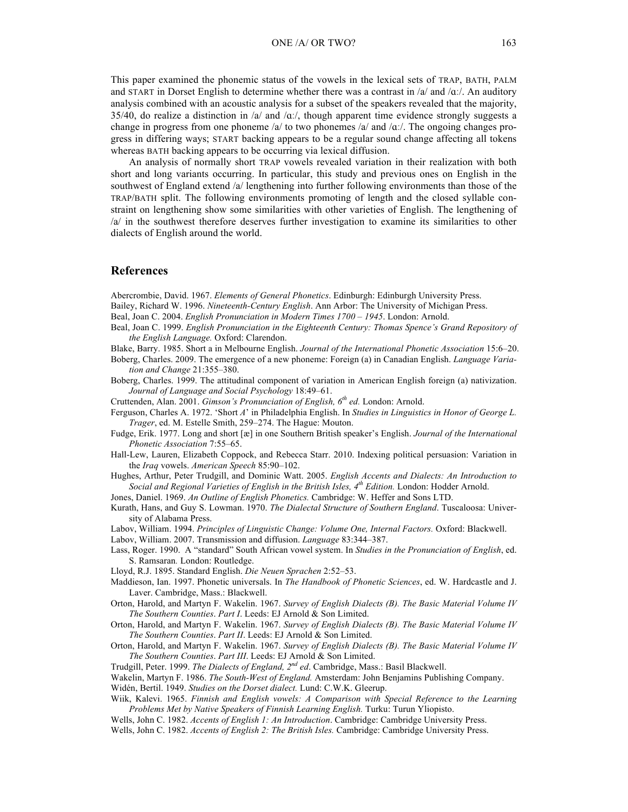This paper examined the phonemic status of the vowels in the lexical sets of TRAP, BATH, PALM and START in Dorset English to determine whether there was a contrast in  $\alpha$  and  $\alpha$ . An auditory analysis combined with an acoustic analysis for a subset of the speakers revealed that the majority, 35/40, do realize a distinction in /a/ and / $\alpha$ . though apparent time evidence strongly suggests a change in progress from one phoneme /a/ to two phonemes /a/ and / $\alpha$ . The ongoing changes progress in differing ways; START backing appears to be a regular sound change affecting all tokens whereas BATH backing appears to be occurring via lexical diffusion.

An analysis of normally short TRAP vowels revealed variation in their realization with both short and long variants occurring. In particular, this study and previous ones on English in the southwest of England extend /a/ lengthening into further following environments than those of the TRAP/BATH split. The following environments promoting of length and the closed syllable constraint on lengthening show some similarities with other varieties of English. The lengthening of /a/ in the southwest therefore deserves further investigation to examine its similarities to other dialects of English around the world.

#### **References**

Abercrombie, David. 1967. *Elements of General Phonetics*. Edinburgh: Edinburgh University Press.

- Bailey, Richard W. 1996. *Nineteenth-Century English*. Ann Arbor: The University of Michigan Press.
- Beal, Joan C. 2004. *English Pronunciation in Modern Times 1700 – 1945*. London: Arnold.
- Beal, Joan C. 1999. *English Pronunciation in the Eighteenth Century: Thomas Spence's Grand Repository of the English Language.* Oxford: Clarendon.
- Blake, Barry. 1985. Short a in Melbourne English. *Journal of the International Phonetic Association* 15:6–20.
- Boberg, Charles. 2009. The emergence of a new phoneme: Foreign (a) in Canadian English. *Language Variation and Change* 21:355–380.
- Boberg, Charles. 1999. The attitudinal component of variation in American English foreign (a) nativization. *Journal of Language and Social Psychology* 18:49–61.

Cruttenden, Alan. 2001. *Gimson's Pronunciation of English, 6th ed.* London: Arnold.

- Ferguson, Charles A. 1972. 'Short *A*' in Philadelphia English. In *Studies in Linguistics in Honor of George L. Trager*, ed. M. Estelle Smith, 259–274. The Hague: Mouton.
- Fudge, Erik. 1977. Long and short [æ] in one Southern British speaker's English. *Journal of the International Phonetic Association* 7:55–65.
- Hall-Lew, Lauren, Elizabeth Coppock, and Rebecca Starr. 2010. Indexing political persuasion: Variation in the *Iraq* vowels. *American Speech* 85:90–102.
- Hughes, Arthur, Peter Trudgill, and Dominic Watt. 2005. *English Accents and Dialects: An Introduction to Social and Regional Varieties of English in the British Isles, 4th Edition.* London: Hodder Arnold.

Jones, Daniel. 1969. *An Outline of English Phonetics.* Cambridge: W. Heffer and Sons LTD.

- Kurath, Hans, and Guy S. Lowman. 1970. *The Dialectal Structure of Southern England*. Tuscaloosa: University of Alabama Press.
- Labov, William. 1994. *Principles of Linguistic Change: Volume One, Internal Factors.* Oxford: Blackwell.

Labov, William. 2007. Transmission and diffusion. *Language* 83:344–387.

Lass, Roger. 1990. A "standard" South African vowel system. In *Studies in the Pronunciation of English*, ed. S. Ramsaran*.* London: Routledge.

Lloyd, R.J. 1895. Standard English. *Die Neuen Sprachen* 2:52–53.

- Maddieson, Ian. 1997. Phonetic universals. In *The Handbook of Phonetic Sciences*, ed. W. Hardcastle and J. Laver. Cambridge, Mass.: Blackwell.
- Orton, Harold, and Martyn F. Wakelin. 1967. *Survey of English Dialects (B). The Basic Material Volume IV The Southern Counties*. *Part I*. Leeds: EJ Arnold & Son Limited.
- Orton, Harold, and Martyn F. Wakelin. 1967. *Survey of English Dialects (B). The Basic Material Volume IV The Southern Counties*. *Part II*. Leeds: EJ Arnold & Son Limited.
- Orton, Harold, and Martyn F. Wakelin. 1967. *Survey of English Dialects (B). The Basic Material Volume IV The Southern Counties*. *Part III*. Leeds: EJ Arnold & Son Limited.
- Trudgill, Peter. 1999. *The Dialects of England, 2nd ed*. Cambridge, Mass.: Basil Blackwell.
- Wakelin, Martyn F. 1986. *The South-West of England.* Amsterdam: John Benjamins Publishing Company. Widén, Bertil. 1949. *Studies on the Dorset dialect.* Lund: C.W.K. Gleerup.
- Wiik, Kalevi. 1965. *Finnish and English vowels: A Comparison with Special Reference to the Learning Problems Met by Native Speakers of Finnish Learning English.* Turku: Turun Yliopisto.
- Wells, John C. 1982. *Accents of English 1: An Introduction*. Cambridge: Cambridge University Press.
- Wells, John C. 1982. *Accents of English 2: The British Isles.* Cambridge: Cambridge University Press.